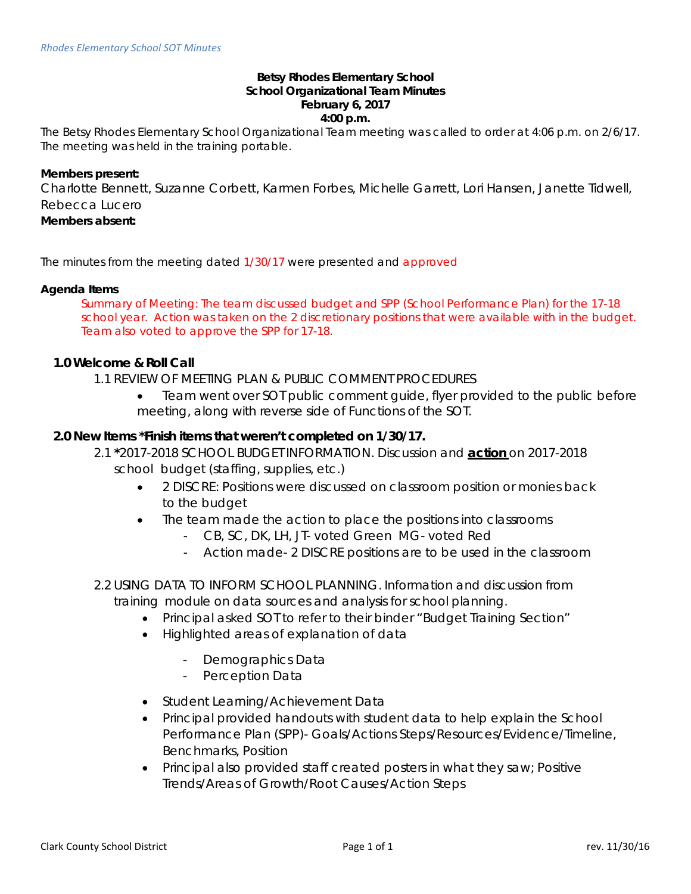#### **Betsy Rhodes Elementary School School Organizational Team Minutes February 6, 2017 4:00 p.m.**

The Betsy Rhodes Elementary School Organizational Team meeting was called to order at 4:06 p.m. on 2/6/17. The meeting was held in the training portable.

#### **Members present:**

Charlotte Bennett, Suzanne Corbett, Karmen Forbes, Michelle Garrett, Lori Hansen, Janette Tidwell, Rebecca Lucero

# **Members absent:**

The minutes from the meeting dated 1/30/17 were presented and approved

#### **Agenda Items**

Summary of Meeting: The team discussed budget and SPP (School Performance Plan) for the 17-18 school year. Action was taken on the 2 discretionary positions that were available with in the budget. Team also voted to approve the SPP for 17-18.

### **1.0 Welcome & Roll Call**

1.1 REVIEW OF MEETING PLAN & PUBLIC COMMENT PROCEDURES

• Team went over SOT public comment guide, flyer provided to the public before meeting, along with reverse side of Functions of the SOT.

### **2.0 New Items \*Finish items that weren't completed on 1/30/17.**

- 2.1 **\***2017-2018 SCHOOL BUDGET INFORMATION. Discussion and **action** on 2017-2018 school budget (staffing, supplies, etc.)
	- 2 DISCRE: Positions were discussed on classroom position or monies back to the budget
	- The team made the action to place the positions into classrooms
		- CB, SC, DK, LH, JT- voted Green MG- voted Red
		- Action made- 2 DISCRE positions are to be used in the classroom
- 2.2 USING DATA TO INFORM SCHOOL PLANNING. Information and discussion from training module on data sources and analysis for school planning.
	- Principal asked SOT to refer to their binder "Budget Training Section"
	- Highlighted areas of explanation of data
		- Demographics Data
		- Perception Data
	- Student Learning/Achievement Data
	- Principal provided handouts with student data to help explain the School Performance Plan (SPP)- Goals/Actions Steps/Resources/Evidence/Timeline, Benchmarks, Position
	- Principal also provided staff created posters in what they saw; Positive Trends/Areas of Growth/Root Causes/Action Steps